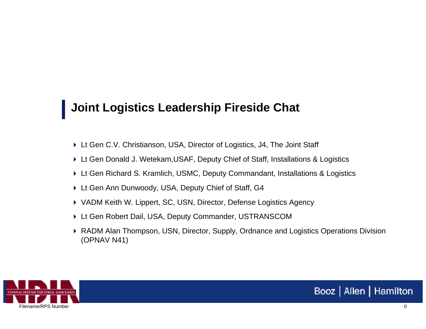## **Joint Logistics Leadership Fireside Chat**

- ▶ Lt Gen C.V. Christianson, USA, Director of Logistics, J4, The Joint Staff
- Lt Gen Donald J. Wetekam,USAF, Deputy Chief of Staff, Installations & Logistics
- Lt Gen Richard S. Kramlich, USMC, Deputy Commandant, Installations & Logistics
- ▶ Lt Gen Ann Dunwoody, USA, Deputy Chief of Staff, G4
- ▶ VADM Keith W. Lippert, SC, USN, Director, Defense Logistics Agency
- ▶ Lt Gen Robert Dail, USA, Deputy Commander, USTRANSCOM
- ▶ RADM Alan Thompson, USN, Director, Supply, Ordnance and Logistics Operations Division (OPNAV N41)

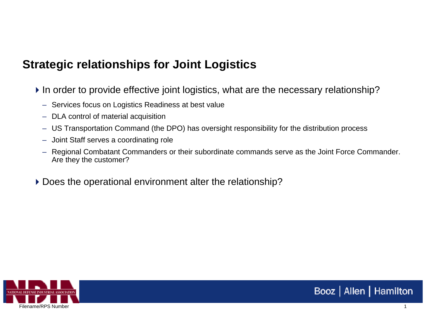## **Strategic relationships for Joint Logistics**

- In order to provide effective joint logistics, what are the necessary relationship?
	- Services focus on Logistics Readiness at best value
	- DLA control of material acquisition
	- US Transportation Command (the DPO) has oversight responsibility for the distribution process
	- Joint Staff serves a coordinating role
	- Regional Combatant Commanders or their subordinate commands serve as the Joint Force Commander. Are they the customer?
- Does the operational environment alter the relationship?